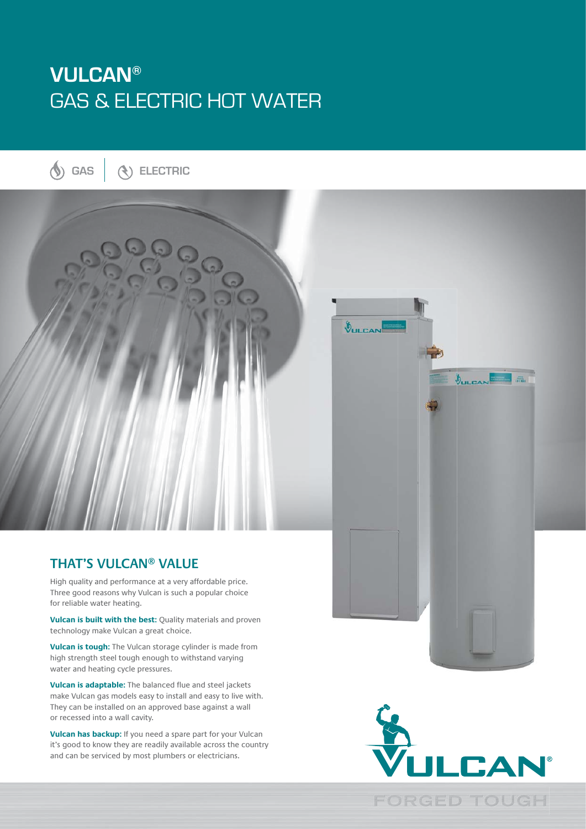# **VULCAN®** GAS & ELECTRIC HOT WATER

**GAS ELECTRIC**



### **THAT'S VULCAN® VALUE**

High quality and performance at a very affordable price. Three good reasons why Vulcan is such a popular choice for reliable water heating.

**Vulcan is built with the best:** Quality materials and proven technology make Vulcan a great choice.

**Vulcan is tough:** The Vulcan storage cylinder is made from high strength steel tough enough to withstand varying water and heating cycle pressures.

**Vulcan is adaptable:** The balanced flue and steel jackets make Vulcan gas models easy to install and easy to live with. They can be installed on an approved base against a wall or recessed into a wall cavity.

**Vulcan has backup:** If you need a spare part for your Vulcan it's good to know they are readily available across the country and can be serviced by most plumbers or electricians.



 $\bigcirc$ ULCAN

1.品

VULCAN

**FORGED TOUGH**